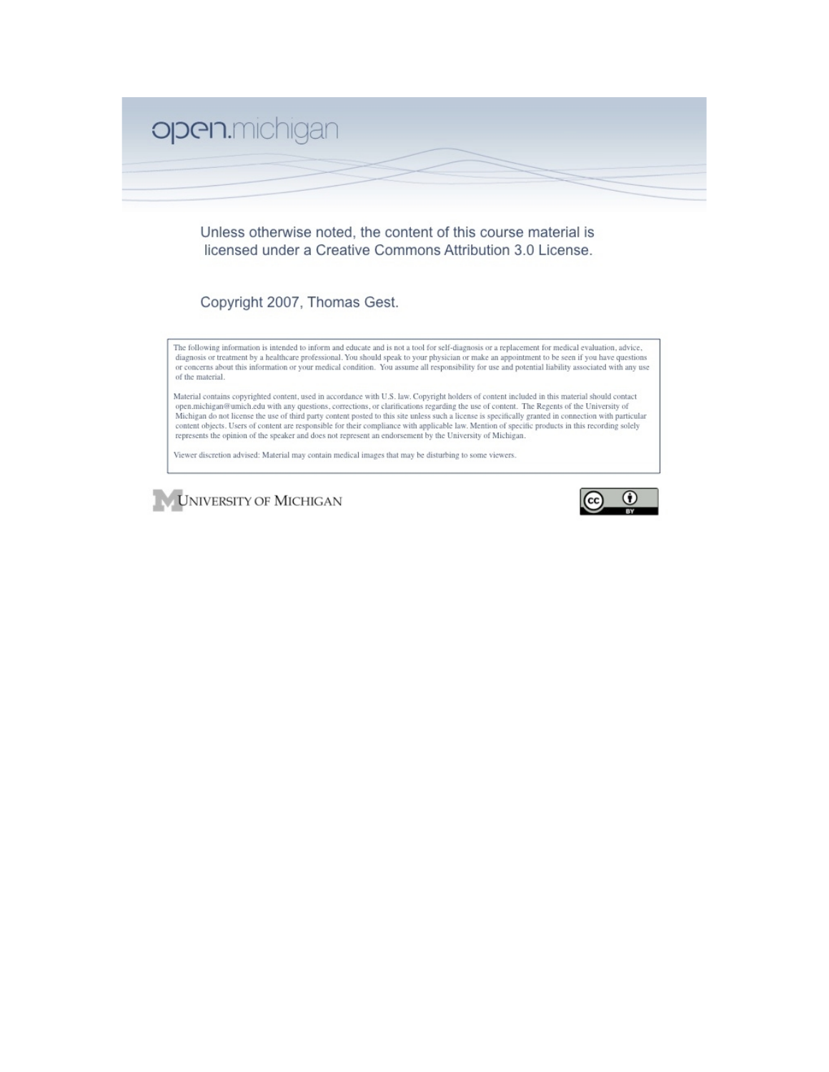

Unless otherwise noted, the content of this course material is licensed under a Creative Commons Attribution 3.0 License.

Copyright 2007, Thomas Gest.

The following information is intended to inform and educate and is not a tool for self-diagnosis or a replacement for medical evaluation, advice, diagnosis or treatment by a healthcare professional. You should speak to your physician or make an appointment to be seen if you have questions or concerns about this information or your medical condition. You assume all responsibility for use and potential liability associated with any use of the material.

Material contains copyrighted content, used in accordance with U.S. law. Copyright holders of content included in this material should contact open.michigan@umich.edu with any questions, corrections, or clarifications regarding the use of content. The Regents of the University of<br>Michigan do not license the use of third party content posted to this site unless su represents the opinion of the speaker and does not represent an endorsement by the University of Michigan.

Viewer discretion advised: Material may contain medical images that may be disturbing to some viewers.



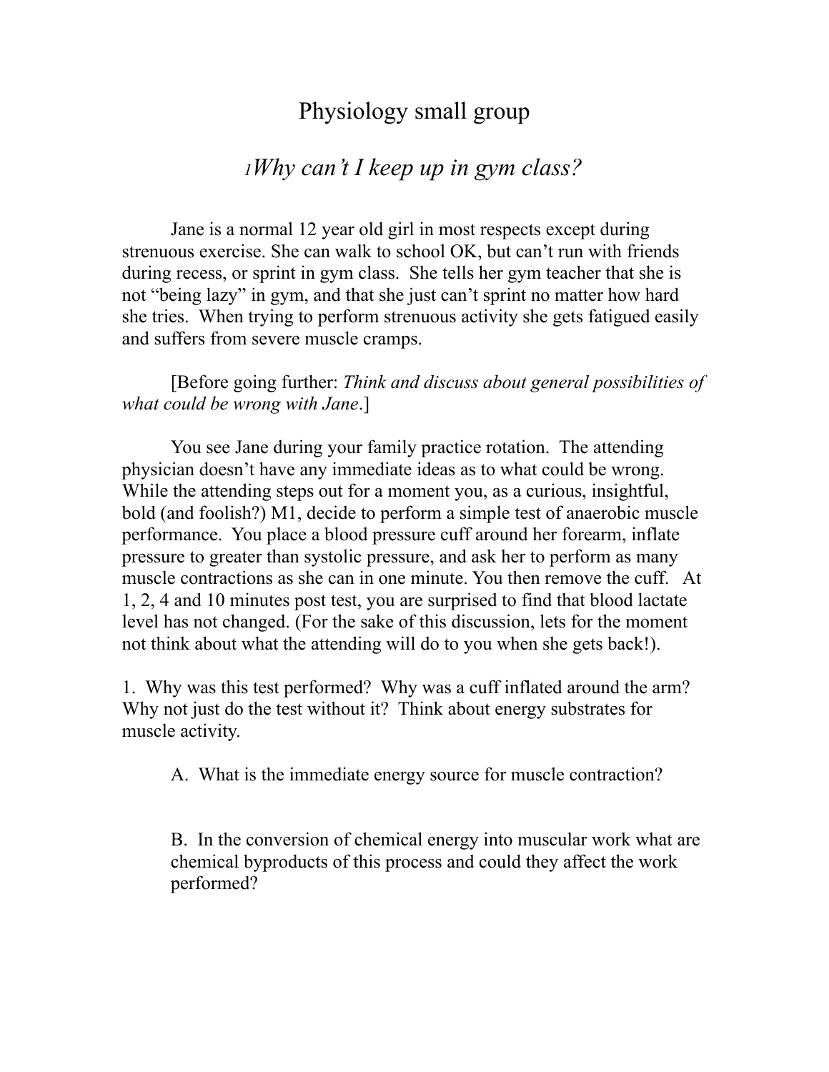## Physiology small group

## *<sup>1</sup>Why can't I keep up in gym class?*

Jane is a normal 12 year old girl in most respects except during strenuous exercise. She can walk to school OK, but can't run with friends during recess, or sprint in gym class. She tells her gym teacher that she is not "being lazy" in gym, and that she just can't sprint no matter how hard she tries. When trying to perform strenuous activity she gets fatigued easily and suffers from severe muscle cramps.

[Before going further: *Think and discuss about general possibilities of what could be wrong with Jane*.]

You see Jane during your family practice rotation. The attending physician doesn't have any immediate ideas as to what could be wrong. While the attending steps out for a moment you, as a curious, insightful, bold (and foolish?) M1, decide to perform a simple test of anaerobic muscle performance. You place a blood pressure cuff around her forearm, inflate pressure to greater than systolic pressure, and ask her to perform as many muscle contractions as she can in one minute. You then remove the cuff. At 1, 2, 4 and 10 minutes post test, you are surprised to find that blood lactate level has not changed. (For the sake of this discussion, lets for the moment not think about what the attending will do to you when she gets back!).

1. Why was this test performed? Why was a cuff inflated around the arm? Why not just do the test without it? Think about energy substrates for muscle activity.

A. What is the immediate energy source for muscle contraction?

B. In the conversion of chemical energy into muscular work what are chemical byproducts of this process and could they affect the work performed?